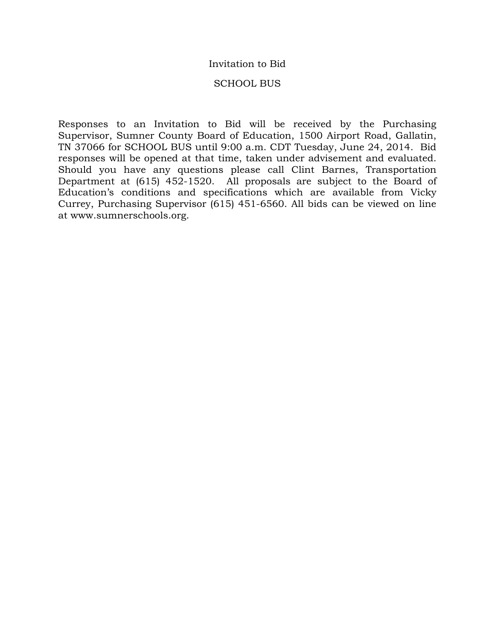### Invitation to Bid

### SCHOOL BUS

Responses to an Invitation to Bid will be received by the Purchasing Supervisor, Sumner County Board of Education, 1500 Airport Road, Gallatin, TN 37066 for SCHOOL BUS until 9:00 a.m. CDT Tuesday, June 24, 2014. Bid responses will be opened at that time, taken under advisement and evaluated. Should you have any questions please call Clint Barnes, Transportation Department at (615) 452-1520. All proposals are subject to the Board of Education's conditions and specifications which are available from Vicky Currey, Purchasing Supervisor (615) 451-6560. All bids can be viewed on line at www.sumnerschools.org.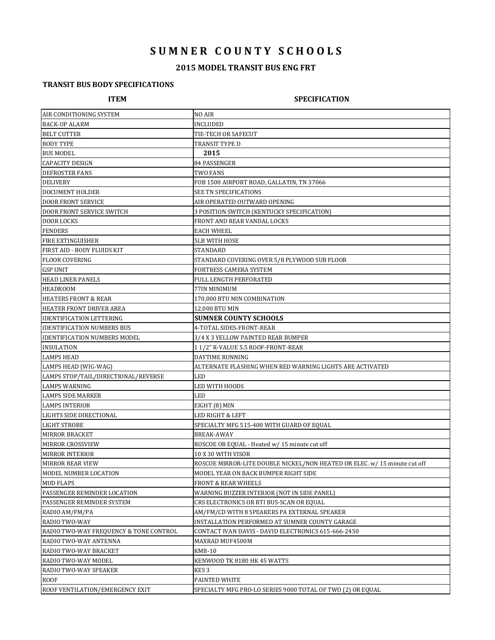# **S U M N E R C O U N T Y S C H O O L S**

# **2015 MODEL TRANSIT BUS ENG FRT**

## **TRANSIT BUS BODY SPECIFICATIONS**

### **ITEM SPECIFICATION**

| AIR CONDITIONING SYSTEM                | NO AIR                                                                    |  |
|----------------------------------------|---------------------------------------------------------------------------|--|
| <b>BACK-UP ALARM</b>                   | INCLUDED                                                                  |  |
| <b>BELT CUTTER</b>                     | TIE-TECH OR SAFECUT                                                       |  |
| <b>BODY TYPE</b>                       | TRANSIT TYPE D                                                            |  |
| <b>BUS MODEL</b>                       | 2015                                                                      |  |
| <b>CAPACITY DESIGN</b>                 | 84 PASSENGER                                                              |  |
| DEFROSTER FANS                         | TWO FANS                                                                  |  |
| <b>DELIVERY</b>                        | FOB 1500 AIRPORT ROAD, GALLATIN, TN 37066                                 |  |
| DOCUMENT HOLDER                        | SEE TN SPECIFICATIONS                                                     |  |
| <b>DOOR FRONT SERVICE</b>              | AIR OPERATED OUTWARD OPENING                                              |  |
| <b>DOOR FRONT SERVICE SWITCH</b>       | 3 POSITION SWITCH (KENTUCKY SPECIFICATION)                                |  |
| <b>DOOR LOCKS</b>                      | FRONT AND REAR VANDAL LOCKS                                               |  |
| <b>FENDERS</b>                         | EACH WHEEL                                                                |  |
| <b>FIRE EXTINGUISHER</b>               | 5LB WITH HOSE                                                             |  |
| FIRST AID - BODY FLUIDS KIT            | STANDARD                                                                  |  |
| <b>FLOOR COVERING</b>                  | STANDARD COVERING OVER 5/8 PLYWOOD SUB FLOOR                              |  |
| <b>GSP UNIT</b>                        | FORTRESS CAMERA SYSTEM                                                    |  |
| <b>HEAD LINER PANELS</b>               | FULL LENGTH PERFORATED                                                    |  |
| <b>HEADROOM</b>                        | 77IN MINIMUM                                                              |  |
| <b>HEATERS FRONT &amp; REAR</b>        | 170,000 BTU MIN COMBINATION                                               |  |
| HEATER FRONT DRIVER AREA               | 12,000 BTU MIN                                                            |  |
| <b>IDENTIFICATION LETTERING</b>        | <b>SUMNER COUNTY SCHOOLS</b>                                              |  |
| <b>IDENTIFICATION NUMBERS BUS</b>      | 4-TOTAL SIDES-FRONT-REAR                                                  |  |
| <b>IDENTIFICATION NUMBERS MODEL</b>    | 3/4 X 3 YELLOW PAINTED REAR BUMPER                                        |  |
| <b>INSULATION</b>                      | 11/2" R-VALUE 5.5 ROOF-FRONT-REAR                                         |  |
| <b>LAMPS HEAD</b>                      | DAYTIME RUNNING                                                           |  |
| LAMPS HEAD (WIG-WAG)                   | ALTERNATE FLASHING WHEN RED WARNING LIGHTS ARE ACTIVATED                  |  |
| LAMPS STOP/TAIL/DIRECTIONAL/REVERSE    | LED                                                                       |  |
| <b>LAMPS WARNING</b>                   | LED WITH HOODS                                                            |  |
| <b>LAMPS SIDE MARKER</b>               | LED                                                                       |  |
| <b>LAMPS INTERIOR</b>                  | EIGHT (8) MIN                                                             |  |
| LIGHTS SIDE DIRECTIONAL                | LED RIGHT & LEFT                                                          |  |
| <b>LIGHT STROBE</b>                    | SPECIALTY MFG 515-400 WITH GUARD OF EQUAL                                 |  |
| <b>MIRROR BRACKET</b>                  | BREAK-AWAY                                                                |  |
| <b>MIRROR CROSSVIEW</b>                | ROSCOE OR EQUAL - Heated w/ 15 minute cut off                             |  |
| <b>MIRROR INTERIOR</b>                 | 10 X 30 WITH VISOR                                                        |  |
| <b>MIRROR REAR VIEW</b>                | ROSCOE MIRROR-LITE DOUBLE NICKEL/NON HEATED OR ELEC. w/ 15 minute cut off |  |
| MODEL NUMBER LOCATION                  | MODEL YEAR ON BACK BUMPER RIGHT SIDE                                      |  |
| <b>MUD FLAPS</b>                       | FRONT & REAR WHEELS                                                       |  |
| PASSENGER REMINDER LOCATION            | WARNING BUZZER INTERIOR (NOT IN SIDE PANEL)                               |  |
| PASSENGER REMINDER SYSTEM              | CRS ELECTRONICS OR RTI BUS-SCAN OR EQUAL                                  |  |
| RADIO AM/FM/PA                         | AM/FM/CD WITH 8 SPEAKERS PA EXTERNAL SPEAKER                              |  |
| RADIO TWO-WAY                          | INSTALLATION PERFORMED AT SUMNER COUNTY GARAGE                            |  |
| RADIO TWO-WAY FREQUENCY & TONE CONTROL | CONTACT IVAN DAVIS - DAVID ELECTRONICS 615-666-2450                       |  |
| RADIO TWO-WAY ANTENNA                  | MAXRAD MUF4500M                                                           |  |
| RADIO TWO-WAY BRACKET                  | KMB-10                                                                    |  |
| RADIO TWO-WAY MODEL                    | KENWOOD TK 8180 HK 45 WATTS                                               |  |
| RADIO TWO-WAY SPEAKER                  | KES 3                                                                     |  |
| <b>ROOF</b>                            | PAINTED WHITE                                                             |  |
| ROOF VENTILATION/EMERGENCY EXIT        | SPECIALTY MFG PRO-LO SERIES 9000 TOTAL OF TWO (2) OR EQUAL                |  |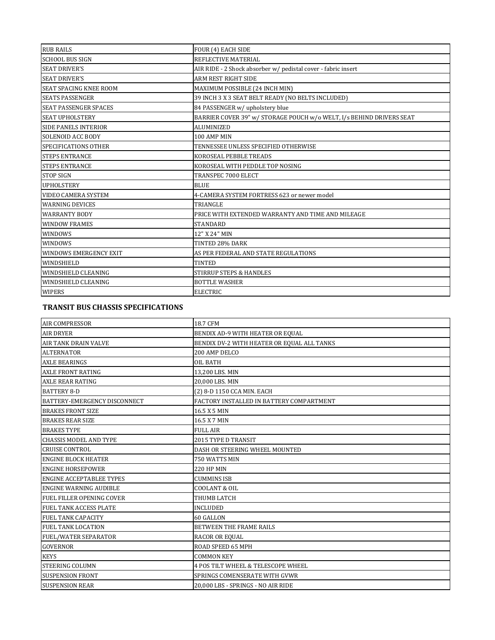| <b>RUB RAILS</b>              | FOUR (4) EACH SIDE                                                   |
|-------------------------------|----------------------------------------------------------------------|
| <b>SCHOOL BUS SIGN</b>        | REFLECTIVE MATERIAL                                                  |
| <b>SEAT DRIVER'S</b>          | AIR RIDE - 2 Shock absorber w/ pedistal cover - fabric insert        |
| <b>SEAT DRIVER'S</b>          | <b>ARM REST RIGHT SIDE</b>                                           |
| <b>SEAT SPACING KNEE ROOM</b> | MAXIMUM POSSIBLE (24 INCH MIN)                                       |
| <b>SEATS PASSENGER</b>        | 39 INCH 3 X 3 SEAT BELT READY (NO BELTS INCLUDED)                    |
| <b>SEAT PASSENGER SPACES</b>  | 84 PASSENGER w/ upholstery blue                                      |
| <b>SEAT UPHOLSTERY</b>        | BARRIER COVER 39" w/ STORAGE POUCH w/o WELT, I/s BEHIND DRIVERS SEAT |
| <b>SIDE PANELS INTERIOR</b>   | <b>ALUMINIZED</b>                                                    |
| <b>SOLENOID ACC BODY</b>      | 100 AMP MIN                                                          |
| <b>SPECIFICATIONS OTHER</b>   | TENNESSEE UNLESS SPECIFIED OTHERWISE                                 |
| <b>STEPS ENTRANCE</b>         | KOROSEAL PEBBLE TREADS                                               |
| <b>STEPS ENTRANCE</b>         | KOROSEAL WITH PEDDLE TOP NOSING                                      |
| <b>STOP SIGN</b>              | TRANSPEC 7000 ELECT                                                  |
| <b>UPHOLSTERY</b>             | <b>BLUE</b>                                                          |
| <b>VIDEO CAMERA SYSTEM</b>    | 4-CAMERA SYSTEM FORTRESS 623 or newer model                          |
| <b>WARNING DEVICES</b>        | TRIANGLE                                                             |
| <b>WARRANTY BODY</b>          | PRICE WITH EXTENDED WARRANTY AND TIME AND MILEAGE                    |
| <b>WINDOW FRAMES</b>          | <b>STANDARD</b>                                                      |
| <b>WINDOWS</b>                | 12" X 24" MIN                                                        |
| <b>WINDOWS</b>                | TINTED 28% DARK                                                      |
| <b>WINDOWS EMERGENCY EXIT</b> | AS PER FEDERAL AND STATE REGULATIONS                                 |
| <b>WINDSHIELD</b>             | <b>TINTED</b>                                                        |
| WINDSHIELD CLEANING           | <b>STIRRUP STEPS &amp; HANDLES</b>                                   |
| WINDSHIELD CLEANING           | <b>BOTTLE WASHER</b>                                                 |
| <b>WIPERS</b>                 | <b>ELECTRIC</b>                                                      |

### **TRANSIT BUS CHASSIS SPECIFICATIONS**

| <b>AIR COMPRESSOR</b>           | 18.7 CFM                                      |
|---------------------------------|-----------------------------------------------|
| <b>AIR DRYER</b>                | BENDIX AD-9 WITH HEATER OR EQUAL              |
| <b>AIR TANK DRAIN VALVE</b>     | BENDIX DV-2 WITH HEATER OR EQUAL ALL TANKS    |
| <b>ALTERNATOR</b>               | 200 AMP DELCO                                 |
| <b>AXLE BEARINGS</b>            | <b>OIL BATH</b>                               |
| <b>AXLE FRONT RATING</b>        | 13,200 LBS. MIN                               |
| <b>AXLE REAR RATING</b>         | 20,000 LBS. MIN                               |
| <b>BATTERY 8-D</b>              | (2) 8-D 1150 CCA MIN. EACH                    |
| BATTERY-EMERGENCY DISCONNECT    | FACTORY INSTALLED IN BATTERY COMPARTMENT      |
| <b>BRAKES FRONT SIZE</b>        | 16.5 X 5 MIN                                  |
| <b>BRAKES REAR SIZE</b>         | 16.5 X 7 MIN                                  |
| <b>BRAKES TYPE</b>              | <b>FULL AIR</b>                               |
| <b>CHASSIS MODEL AND TYPE</b>   | 2015 TYPE D TRANSIT                           |
| <b>CRUISE CONTROL</b>           | DASH OR STEERING WHEEL MOUNTED                |
| <b>ENGINE BLOCK HEATER</b>      | 750 WATTS MIN                                 |
| <b>ENGINE HORSEPOWER</b>        | 220 HP MIN                                    |
| <b>ENGINE ACCEPTABLEE TYPES</b> | <b>CUMMINS ISB</b>                            |
| <b>ENGINE WARNING AUDIBLE</b>   | COOLANT & OIL                                 |
| FUEL FILLER OPENING COVER       | THUMB LATCH                                   |
| FUEL TANK ACCESS PLATE          | <b>INCLUDED</b>                               |
| <b>FUEL TANK CAPACITY</b>       | 60 GALLON                                     |
| FUEL TANK LOCATION              | BETWEEN THE FRAME RAILS                       |
| FUEL/WATER SEPARATOR            | <b>RACOR OR EQUAL</b>                         |
| <b>GOVERNOR</b>                 | ROAD SPEED 65 MPH                             |
| <b>KEYS</b>                     | <b>COMMON KEY</b>                             |
| STEERING COLUMN                 | <b>4 POS TILT WHEEL &amp; TELESCOPE WHEEL</b> |
| <b>SUSPENSION FRONT</b>         | SPRINGS COMENSERATE WITH GVWR                 |
| <b>SUSPENSION REAR</b>          | 20,000 LBS - SPRINGS - NO AIR RIDE            |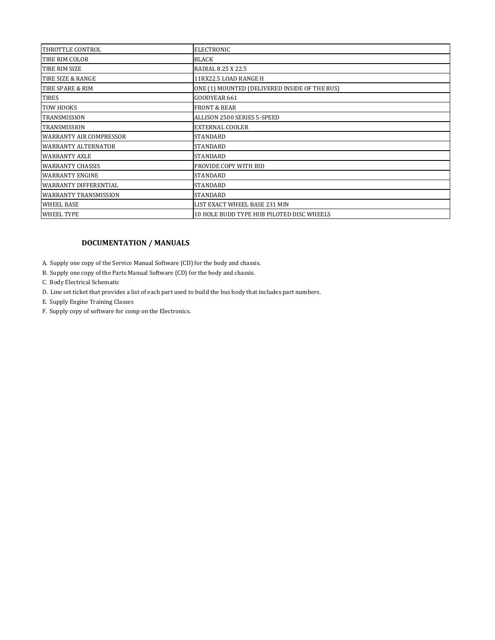| THROTTLE CONTROL               | <b>ELECTRONIC</b>                             |
|--------------------------------|-----------------------------------------------|
| TIRE RIM COLOR                 | <b>BLACK</b>                                  |
| TIRE RIM SIZE                  | RADIAL 8.25 X 22.5                            |
| TIRE SIZE & RANGE              | 11RX22.5 LOAD RANGE H                         |
| TIRE SPARE & RIM               | ONE (1) MOUNTED (DELIVERED INSIDE OF THE BUS) |
| <b>TIRES</b>                   | GOODYEAR 661                                  |
| TOW HOOKS                      | <b>FRONT &amp; REAR</b>                       |
| <b>TRANSMISSION</b>            | ALLISON 2500 SERIES 5-SPEED                   |
| <b>TRANSMISSION</b>            | <b>EXTERNAL COOLER</b>                        |
| <b>WARRANTY AIR COMPRESSOR</b> | <b>STANDARD</b>                               |
| <b>WARRANTY ALTERNATOR</b>     | <b>STANDARD</b>                               |
| <b>WARRANTY AXLE</b>           | <b>STANDARD</b>                               |
| <b>WARRANTY CHASSIS</b>        | PROVIDE COPY WITH BID                         |
| <b>WARRANTY ENGINE</b>         | <b>STANDARD</b>                               |
| <b>WARRANTY DIFFERENTIAL</b>   | <b>STANDARD</b>                               |
| <b>WARRANTY TRANSMISSION</b>   | <b>STANDARD</b>                               |
| <b>WHEEL BASE</b>              | LIST EXACT WHEEL BASE 231 MIN                 |
| <b>WHEEL TYPE</b>              | 10 HOLE BUDD TYPE HUB PILOTED DISC WHEELS     |

### **DOCUMENTATION / MANUALS**

A. Supply one copy of the Service Manual Software (CD) for the body and chassis.

- B. Supply one copy of the Parts Manual Software (CD) for the body and chassis.
- C. Body Electrical Schematic
- D. Line set ticket that provides a list of each part used to build the bus body that includes part numbers.
- E. Supply Engine Training Classes
- F. Supply copy of software for comp on the Electronics.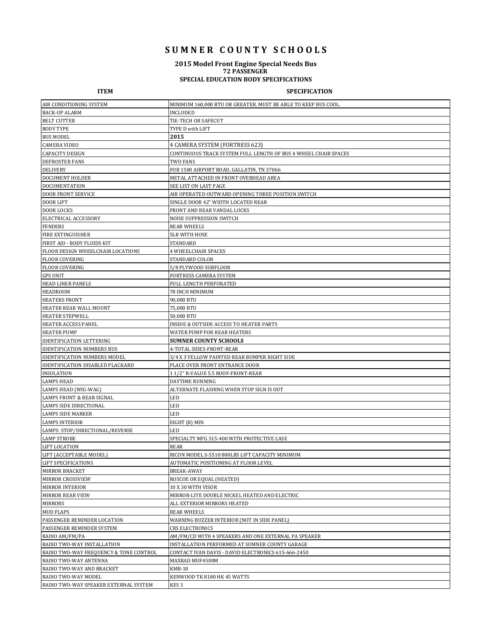# **S U M N E R C O U N T Y S C H O O L S**

### **2015 Model Front Engine Special Needs Bus 72 PASSENGER**

### **SPECIAL EDUCATION BODY SPECIFICATIONS**

#### **ITEM SPECIFICATION**

| AIR CONDITIONING SYSTEM                 | MINIMUM 160,000 BTU OR GREATER. MUST BE ABLE TO KEEP BUS COOL.  |
|-----------------------------------------|-----------------------------------------------------------------|
| <b>BACK-UP ALARM</b>                    | <b>INCLUDED</b>                                                 |
| <b>BELT CUTTER</b>                      | TIE-TECH OR SAFECUT                                             |
| <b>BODY TYPE</b>                        | TYPE D with LIFT                                                |
| <b>BUS MODEL</b>                        | 2015                                                            |
| <b>CAMERA VIDEO</b>                     | 4 CAMERA SYSTEM (FORTRESS 623)                                  |
| <b>CAPACITY DESIGN</b>                  | CONTINUOUS TRACK SYSTEM FULL LENGTH OF BUS 4 WHEEL CHAIR SPACES |
| <b>DEFROSTER FANS</b>                   | TWO FANS                                                        |
| <b>DELIVERY</b>                         | FOB 1500 AIRPORT ROAD, GALLATIN, TN 37066                       |
| DOCUMENT HOLDER                         | METAL ATTACHED IN FRONT OVERHEAD AREA                           |
| <b>DOCUMENTATION</b>                    | SEE LIST ON LAST PAGE                                           |
| <b>DOOR FRONT SERVICE</b>               | AIR OPERATED OUTWARD OPENING THREE POSITION SWITCH              |
| <b>DOOR LIFT</b>                        | SINGLE DOOR 42" WIDTH LOCATED REAR                              |
| <b>DOOR LOCKS</b>                       | FRONT AND REAR VANDAL LOCKS                                     |
| ELECTRICAL ACCESSORY                    | NOISE SUPPRESSION SWITCH                                        |
| <b>FENDERS</b>                          | <b>REAR WHEELS</b>                                              |
| <b>FIRE EXTINGUISHER</b>                | <b>5LB WITH HOSE</b>                                            |
| FIRST AID - BODY FLUIDS KIT             | STANDARD                                                        |
| FLOOR DESIGN WHEELCHAIR LOCATIONS       | <b>4 WHEELCHAIR SPACES</b>                                      |
| <b>FLOOR COVERING</b>                   | STANDARD COLOR                                                  |
| <b>FLOOR COVERING</b>                   | 5/8 PLYWOOD SUBFLOOR                                            |
| <b>GPS UNIT</b>                         | FORTRESS CAMERA SYSTEM                                          |
| HEAD LINER PANELS                       | FULL LENGTH PERFORATED                                          |
| <b>HEADROOM</b>                         | 78 INCH MINIMUM                                                 |
| <b>HEATERS FRONT</b>                    | 90,000 BTU                                                      |
| HEATER REAR WALL MOUNT                  | 75,000 BTU                                                      |
| <b>HEATER STEPWELL</b>                  | 50,000 BTU                                                      |
| HEATER ACCESS PANEL                     | <b>INSIDE &amp; OUTSIDE ACCESS TO HEATER PARTS</b>              |
| <b>HEATER PUMP</b>                      | WATER PUMP FOR REAR HEATERS                                     |
| <b>IDENTIFICATION LETTERING</b>         | <b>SUMNER COUNTY SCHOOLS</b>                                    |
| <b>IDENTIFICATION NUMBERS BUS</b>       | 4-TOTAL SIDES-FRONT-REAR                                        |
| <b>IDENTIFICATION NUMBERS MODEL</b>     | 3/4 X 3 YELLOW PAINTED REAR BUMPER RIGHT SIDE                   |
| <b>IDENTIFICATION DISABLED PLACKARD</b> | PLACE OVER FRONT ENTRANCE DOOR                                  |
| <b>INSULATION</b>                       | 11/2" R-VALUE 5.5 ROOF-FRONT-REAR                               |
| <b>LAMPS HEAD</b>                       | DAYTIME RUNNING                                                 |
| LAMPS HEAD (WIG-WAG)                    | ALTERNATE FLASHING WHEN STOP SIGN IS OUT                        |
| LAMPS FRONT & REAR SIGNAL               | LED                                                             |
| LAMPS SIDE DIRECTIONAL                  | LED                                                             |
| <b>LAMPS SIDE MARKER</b>                | <b>LED</b>                                                      |
| <b>LAMPS INTERIOR</b>                   | EIGHT (8) MIN                                                   |
| LAMPS: STOP/DIRECTIONAL/REVERSE         | LED                                                             |
| <b>LAMP STROBE</b>                      | SPECIALTY MFG 515-400 WITH PROTECTIVE CASE                      |
| <b>LIFT LOCATION</b>                    | <b>REAR</b>                                                     |
| LIFT (ACCEPTABLE MODEL)                 | RICON MODEL S-5510 800LBS LIFT CAPACITY MINIMUM                 |
| LIFT SPECIFICATIONS                     | AUTOMATIC POSITIONING AT FLOOR LEVEL                            |
| MIRROR BRACKET                          | BREAK-AWAY                                                      |
| <b>MIRROR CROSSVIEW</b>                 | ROSCOE OR EQUAL (HEATED)                                        |
| <b>MIRROR INTERIOR</b>                  | 10 X 30 WITH VISOR                                              |
| <b>MIRROR REAR VIEW</b>                 | MIRROR-LITE DOUBLE NICKEL HEATED AND ELECTRIC                   |
| MIRRORS                                 | ALL EXTERIOR MIRRORS HEATED                                     |
| <b>MUD FLAPS</b>                        | <b>REAR WHEELS</b>                                              |
| PASSENGER REMINDER LOCATION             | WARNING BUZZER INTERIOR (NOT IN SIDE PANEL)                     |
| PASSENGER REMINDER SYSTEM               | <b>CRS ELECTRONICS</b>                                          |
| RADIO AM/FM/PA                          | AM/FM/CD WITH 4 SPEAKERS AND ONE EXTERNAL PA SPEAKER            |
| RADIO TWO-WAY INSTALLATION              | INSTALLATION PERFORMED AT SUMNER COUNTY GARAGE                  |
| RADIO TWO-WAY FREQUENCY & TONE CONTROL  | CONTACT IVAN DAVIS - DAVID ELECTRONICS 615-666-2450             |
| RADIO TWO-WAY ANTENNA                   | MAXRAD MUF4500M                                                 |
| RADIO TWO-WAY AND BRACKET               | KMB-10                                                          |
| RADIO TWO-WAY MODEL                     | KENWOOD TK 8180 HK 45 WATTS                                     |
| RADIO TWO-WAY SPEAKER EXTERNAL SYSTEM   | KES 3                                                           |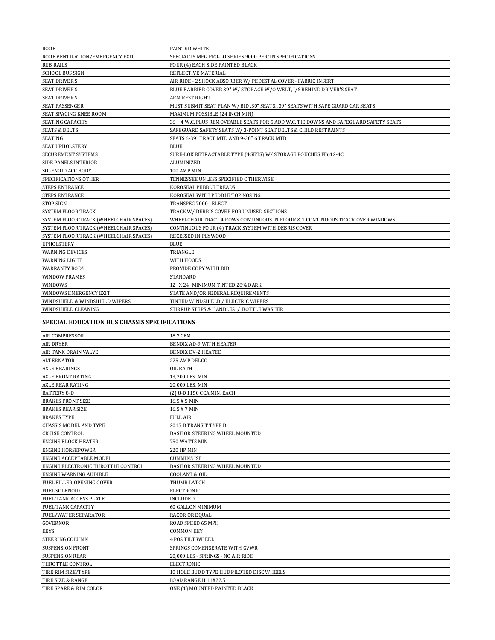| <b>ROOF</b>                            | PAINTED WHITE                                                                         |
|----------------------------------------|---------------------------------------------------------------------------------------|
| ROOF VENTILATION/EMERGENCY EXIT        | SPECIALTY MFG PRO-LO SERIES 9000 PER TN SPECIFICATIONS                                |
| <b>RUB RAILS</b>                       | FOUR (4) EACH SIDE PAINTED BLACK                                                      |
| <b>SCHOOL BUS SIGN</b>                 | REFLECTIVE MATERIAL                                                                   |
| <b>SEAT DRIVER'S</b>                   | AIR RIDE - 2 SHOCK ABSORBER W/ PEDESTAL COVER - FABRIC INSERT                         |
| <b>SEAT DRIVER'S</b>                   | BLUE BARRIER COVER 39" W/ STORAGE W/O WELT, I/S BEHIND DRIVER'S SEAT                  |
| <b>SEAT DRIVER'S</b>                   | ARM REST RIGHT                                                                        |
| <b>SEAT PASSENGER</b>                  | MUST SUBMIT SEAT PLAN W/ BID .30" SEATS, .39" SEATS WITH SAFE GUARD CAR SEATS         |
| <b>SEAT SPACING KNEE ROOM</b>          | MAXIMUM POSSIBLE (24 INCH MIN)                                                        |
| <b>SEATING CAPACITY</b>                | 36 + 4 W.C. PLUS REMOVEABLE SEATS FOR 5 ADD W.C. TIE DOWNS AND SAFEGUARD SAFETY SEATS |
| <b>SEATS &amp; BELTS</b>               | SAFEGUARD SAFETY SEATS W/3-POINT SEAT BELTS & CHILD RESTRAINTS                        |
| <b>SEATING</b>                         | SEATS 6-39" TRACT MTD AND 9-30" 6 TRACK MTD                                           |
| <b>SEAT UPHOLSTERY</b>                 | <b>BLUE</b>                                                                           |
| <b>SECUREMENT SYSTEMS</b>              | SURE-LOK RETRACTABLE TYPE (4 SETS) W/ STORAGE POUCHES FF612-4C                        |
| <b>SIDE PANELS INTERIOR</b>            | ALUMINIZED                                                                            |
| <b>SOLENOID ACC BODY</b>               | 100 AMP MIN                                                                           |
| SPECIFICATIONS OTHER                   | TENNESSEE UNLESS SPECIFIED OTHERWISE                                                  |
| <b>STEPS ENTRANCE</b>                  | KOROSEAL PEBBLE TREADS                                                                |
| <b>STEPS ENTRANCE</b>                  | KOROSEAL WITH PEDDLE TOP NOSING                                                       |
| <b>STOP SIGN</b>                       | TRANSPEC 7000 - ELECT                                                                 |
| <b>SYSTEM FLOOR TRACK</b>              | TRACK W/DEBRIS COVER FOR UNUSED SECTIONS                                              |
| SYSTEM FLOOR TRACK (WHEELCHAIR SPACES) | WHEELCHAIR TRACT 4 ROWS CONTINUOUS IN FLOOR & 1 CONTINUOUS TRACK OVER WINDOWS         |
| SYSTEM FLOOR TRACK (WHEELCHAIR SPACES) | CONTINUOUS FOUR (4) TRACK SYSTEM WITH DEBRIS COVER                                    |
| SYSTEM FLOOR TRACK (WHEELCHAIR SPACES) | RECESSED IN PLYWOOD                                                                   |
| <b>UPHOLSTERY</b>                      | <b>BLUE</b>                                                                           |
| <b>WARNING DEVICES</b>                 | TRIANGLE                                                                              |
| <b>WARNING LIGHT</b>                   | WITH HOODS                                                                            |
| <b>WARRANTY BODY</b>                   | PROVIDE COPY WITH BID                                                                 |
| <b>WINDOW FRAMES</b>                   | <b>STANDARD</b>                                                                       |
| WINDOWS                                | 12" X 24" MINIMUM TINTED 28% DARK                                                     |
| <b>WINDOWS EMERGENCY EXIT</b>          | STATE AND/OR FEDERAL REQUIREMENTS                                                     |
| WINDSHIELD & WINDSHIELD WIPERS         | TINTED WINDSHIELD / ELECTRIC WIPERS                                                   |
| WINDSHIELD CLEANING                    | STIRRUP STEPS & HANDLES / BOTTLE WASHER                                               |

### **SPECIAL EDUCATION BUS CHASSIS SPECIFICATIONS**

| <b>AIR COMPRESSOR</b>              | 18.7 CFM                                  |
|------------------------------------|-------------------------------------------|
| <b>AIR DRYER</b>                   | <b>BENDIX AD-9 WITH HEATER</b>            |
| <b>AIR TANK DRAIN VALVE</b>        | <b>BENDIX DV-2 HEATED</b>                 |
| <b>ALTERNATOR</b>                  | 275 AMP DELCO                             |
| <b>AXLE BEARINGS</b>               | OIL BATH                                  |
| <b>AXLE FRONT RATING</b>           | 13,200 LBS. MIN                           |
| <b>AXLE REAR RATING</b>            | 20,000 LBS. MIN                           |
| <b>BATTERY 8-D</b>                 | (2) 8-D 1150 CCA MIN. EACH                |
| <b>BRAKES FRONT SIZE</b>           | 16.5 X 5 MIN                              |
| <b>BRAKES REAR SIZE</b>            | 16.5 X 7 MIN                              |
| <b>BRAKES TYPE</b>                 | <b>FULL AIR</b>                           |
| <b>CHASSIS MODEL AND TYPE</b>      | 2015 D TRANSIT TYPE D                     |
| <b>CRUISE CONTROL</b>              | DASH OR STEERING WHEEL MOUNTED            |
| <b>ENGINE BLOCK HEATER</b>         | 750 WATTS MIN                             |
| <b>ENGINE HORSEPOWER</b>           | <b>220 HP MIN</b>                         |
| <b>ENGINE ACCEPTABLE MODEL</b>     | <b>CUMMINS ISB</b>                        |
| ENGINE ELECTRONIC THROTTLE CONTROL | DASH OR STEERING WHEEL MOUNTED            |
| <b>ENGINE WARNING AUDIBLE</b>      | <b>COOLANT &amp; OIL</b>                  |
| FUEL FILLER OPENING COVER          | THUMB LATCH                               |
| <b>FUEL SOLENOID</b>               | <b>ELECTRONIC</b>                         |
| <b>FUEL TANK ACCESS PLATE</b>      | <b>INCLUDED</b>                           |
| <b>FUEL TANK CAPACITY</b>          | 60 GALLON MINIMUM                         |
| <b>FUEL/WATER SEPARATOR</b>        | <b>RACOR OR EQUAL</b>                     |
| <b>GOVERNOR</b>                    | ROAD SPEED 65 MPH                         |
| <b>KEYS</b>                        | <b>COMMON KEY</b>                         |
| <b>STEERING COLUMN</b>             | 4 POS TILT WHEEL                          |
| <b>SUSPENSION FRONT</b>            | SPRINGS COMENSERATE WITH GVWR             |
| <b>SUSPENSION REAR</b>             | 20,000 LBS - SPRINGS - NO AIR RIDE        |
| THROTTLE CONTROL                   | <b>ELECTRONIC</b>                         |
| TIRE RIM SIZE/TYPE                 | 10 HOLE BUDD TYPE HUB PILOTED DISC WHEELS |
| TIRE SIZE & RANGE                  | LOAD RANGE H 11X22.5                      |
| TIRE SPARE & RIM COLOR             | ONE (1) MOUNTED PAINTED BLACK             |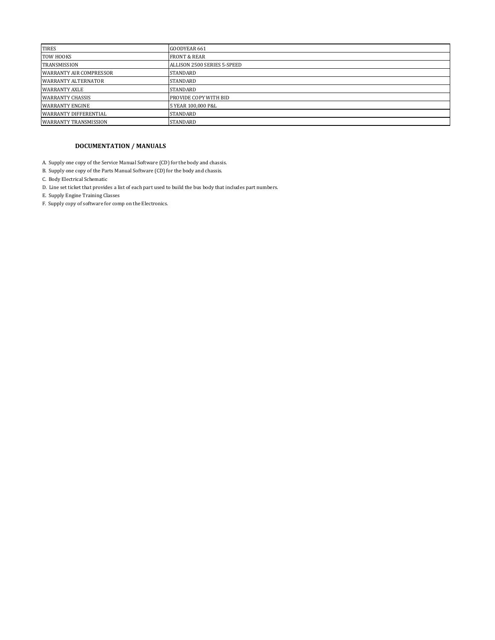| GOODYEAR 661                |
|-----------------------------|
| <b>FRONT &amp; REAR</b>     |
| ALLISON 2500 SERIES 5-SPEED |
| STANDARD                    |
| STANDARD                    |
| <b>STANDARD</b>             |
| PROVIDE COPY WITH BID       |
| 5 YEAR 100,000 P&L          |
| <b>STANDARD</b>             |
| <b>STANDARD</b>             |
|                             |

#### **DOCUMENTATION / MANUALS**

A. Supply one copy of the Service Manual Software (CD) for the body and chassis.

- B. Supply one copy of the Parts Manual Software (CD) for the body and chassis.
- C. Body Electrical Schematic
- D. Line set ticket that provides a list of each part used to build the bus body that includes part numbers.
- E. Supply Engine Training Classes
- F. Supply copy of software for comp on the Electronics.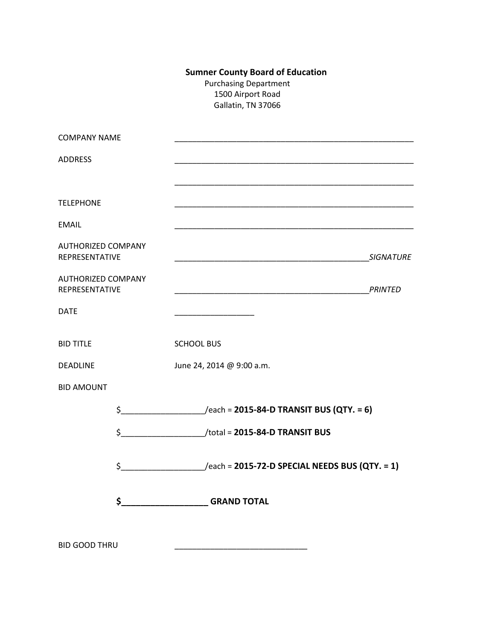# **Sumner County Board of Education**

Purchasing Department 1500 Airport Road Gallatin, TN 37066

| <b>COMPANY NAME</b>                         |                                                              |                  |
|---------------------------------------------|--------------------------------------------------------------|------------------|
| <b>ADDRESS</b>                              |                                                              |                  |
|                                             |                                                              |                  |
| <b>TELEPHONE</b>                            |                                                              |                  |
| <b>EMAIL</b>                                |                                                              |                  |
| <b>AUTHORIZED COMPANY</b><br>REPRESENTATIVE |                                                              | <b>SIGNATURE</b> |
| <b>AUTHORIZED COMPANY</b><br>REPRESENTATIVE |                                                              |                  |
| <b>DATE</b>                                 |                                                              |                  |
| <b>BID TITLE</b>                            | <b>SCHOOL BUS</b>                                            |                  |
| <b>DEADLINE</b>                             | June 24, 2014 @ 9:00 a.m.                                    |                  |
| <b>BID AMOUNT</b>                           |                                                              |                  |
|                                             | $\frac{1}{2}$ /each = 2015-84-D TRANSIT BUS (QTY. = 6)       |                  |
|                                             |                                                              |                  |
|                                             | $\frac{1}{2}$ /each = 2015-72-D SPECIAL NEEDS BUS (QTY. = 1) |                  |
|                                             | \$<br><b>GRAND TOTAL</b>                                     |                  |
| <b>BID GOOD THRU</b>                        |                                                              |                  |